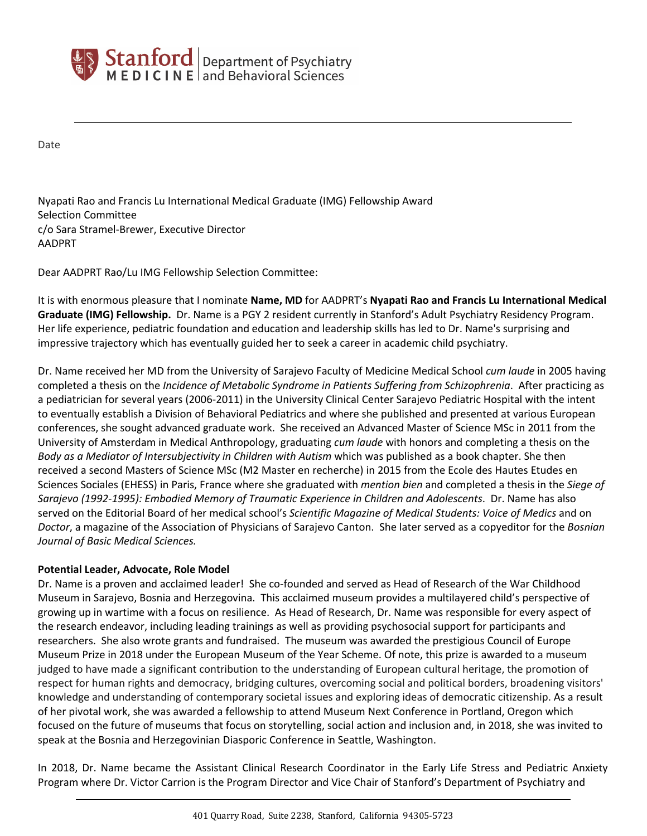

Date

Nyapati Rao and Francis Lu International Medical Graduate (IMG) Fellowship Award Selection Committee c/o Sara Stramel-Brewer, Executive Director AADPRT

Dear AADPRT Rao/Lu IMG Fellowship Selection Committee:

It is with enormous pleasure that I nominate **Name, MD** for AADPRT's **Nyapati Rao and Francis Lu International Medical Graduate (IMG) Fellowship.** Dr. Name is a PGY 2 resident currently in Stanford's Adult Psychiatry Residency Program. Her life experience, pediatric foundation and education and leadership skills has led to Dr. Name's surprising and impressive trajectory which has eventually guided her to seek a career in academic child psychiatry.

Dr. Name received her MD from the University of Sarajevo Faculty of Medicine Medical School *cum laude* in 2005 having completed a thesis on the *Incidence of Metabolic Syndrome in Patients Suffering from Schizophrenia*. After practicing as a pediatrician for several years (2006-2011) in the University Clinical Center Sarajevo Pediatric Hospital with the intent to eventually establish a Division of Behavioral Pediatrics and where she published and presented at various European conferences, she sought advanced graduate work. She received an Advanced Master of Science MSc in 2011 from the University of Amsterdam in Medical Anthropology, graduating *cum laude* with honors and completing a thesis on the *Body as a Mediator of Intersubjectivity in Children with Autism* which was published as a book chapter. She then received a second Masters of Science MSc (M2 Master en recherche) in 2015 from the Ecole des Hautes Etudes en Sciences Sociales (EHESS) in Paris, France where she graduated with *mention bien* and completed a thesis in the *Siege of Sarajevo (1992-1995): Embodied Memory of Traumatic Experience in Children and Adolescents*. Dr. Name has also served on the Editorial Board of her medical school's *Scientific Magazine of Medical Students: Voice of Medics* and on *Doctor*, a magazine of the Association of Physicians of Sarajevo Canton. She later served as a copyeditor for the *Bosnian Journal of Basic Medical Sciences.* 

## **Potential Leader, Advocate, Role Model**

Dr. Name is a proven and acclaimed leader! She co-founded and served as Head of Research of the War Childhood Museum in Sarajevo, Bosnia and Herzegovina. This acclaimed museum provides a multilayered child's perspective of growing up in wartime with a focus on resilience. As Head of Research, Dr. Name was responsible for every aspect of the research endeavor, including leading trainings as well as providing psychosocial support for participants and researchers. She also wrote grants and fundraised. The museum was awarded the prestigious Council of Europe Museum Prize in 2018 under the European Museum of the Year Scheme. Of note, this prize is awarded to a museum judged to have made a significant contribution to the understanding of European cultural heritage, the promotion of respect for human rights and democracy, bridging cultures, overcoming social and political borders, broadening visitors' knowledge and understanding of contemporary societal issues and exploring ideas of democratic citizenship. As a result of her pivotal work, she was awarded a fellowship to attend Museum Next Conference in Portland, Oregon which focused on the future of museums that focus on storytelling, social action and inclusion and, in 2018, she was invited to speak at the Bosnia and Herzegovinian Diasporic Conference in Seattle, Washington.

In 2018, Dr. Name became the Assistant Clinical Research Coordinator in the Early Life Stress and Pediatric Anxiety Program where Dr. Victor Carrion is the Program Director and Vice Chair of Stanford's Department of Psychiatry and